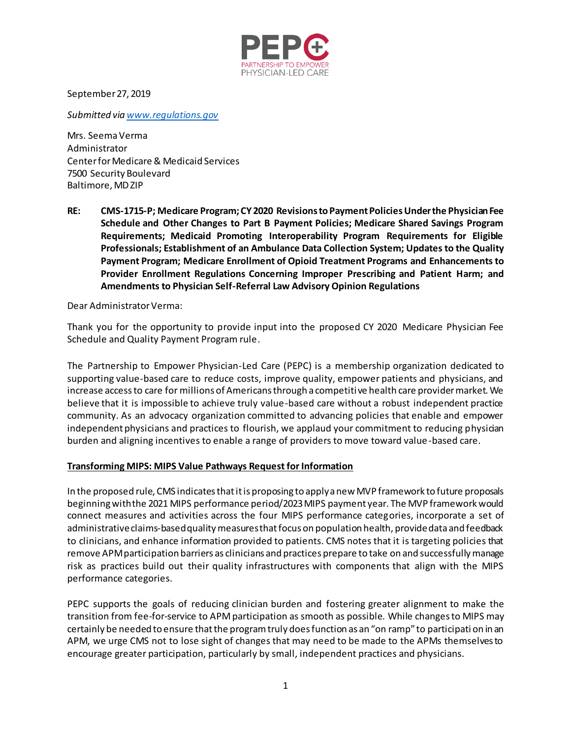

September 27, 2019

*Submitted vi[a www.regulations.gov](http://www.regulations.gov/)*

Mrs. Seema Verma Administrator Center for Medicare & Medicaid Services 7500 Security Boulevard Baltimore, MD ZIP

**RE: CMS-1715-P; Medicare Program; CY 2020 Revisions to Payment Policies Under the Physician Fee Schedule and Other Changes to Part B Payment Policies; Medicare Shared Savings Program Requirements; Medicaid Promoting Interoperability Program Requirements for Eligible Professionals; Establishment of an Ambulance Data Collection System; Updates to the Quality Payment Program; Medicare Enrollment of Opioid Treatment Programs and Enhancements to Provider Enrollment Regulations Concerning Improper Prescribing and Patient Harm; and Amendments to Physician Self-Referral Law Advisory Opinion Regulations**

Dear Administrator Verma:

Thank you for the opportunity to provide input into the proposed CY 2020 Medicare Physician Fee Schedule and Quality Payment Program rule.

The Partnership to Empower Physician-Led Care (PEPC) is a membership organization dedicated to supporting value-based care to reduce costs, improve quality, empower patients and physicians, and increase access to care for millions of Americans through a competitive health care provider market. We believe that it is impossible to achieve truly value-based care without a robust independent practice community. As an advocacy organization committed to advancing policies that enable and empower independent physicians and practices to flourish, we applaud your commitment to reducing physician burden and aligning incentives to enable a range of providers to move toward value-based care.

## **Transforming MIPS: MIPS Value Pathways Request for Information**

In the proposed rule, CMS indicates that it is proposing to apply a new MVP framework to future proposals beginning with the 2021 MIPS performance period/2023 MIPS payment year. The MVP framework would connect measures and activities across the four MIPS performance categories, incorporate a set of administrative claims-based quality measures that focus on population health, provide data and feedback to clinicians, and enhance information provided to patients. CMS notes that it is targeting policies that remove APM participation barriers as clinicians and practices prepare to take on and successfully manage risk as practices build out their quality infrastructures with components that align with the MIPS performance categories.

PEPC supports the goals of reducing clinician burden and fostering greater alignment to make the transition from fee-for-service to APM participation as smooth as possible. While changes to MIPS may certainly be needed to ensure that the program truly does function as an "on ramp" to participati on in an APM, we urge CMS not to lose sight of changes that may need to be made to the APMs themselves to encourage greater participation, particularly by small, independent practices and physicians.